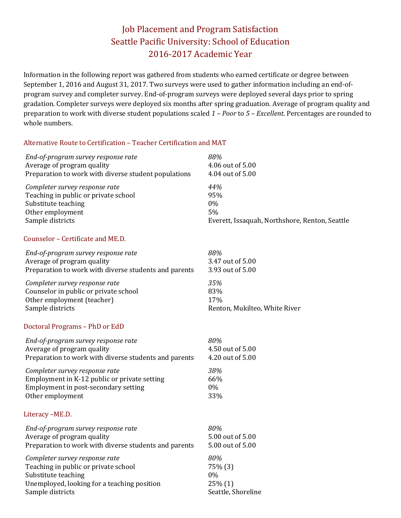# Job Placement and Program Satisfaction Seattle Pacific University: School of Education 2016-2017 Academic Year

Information in the following report was gathered from students who earned certificate or degree between September 1, 2016 and August 31, 2017. Two surveys were used to gather information including an end-ofprogram survey and completer survey. End-of-program surveys were deployed several days prior to spring gradation. Completer surveys were deployed six months after spring graduation. Average of program quality and preparation to work with diverse student populations scaled *1 – Poor* to *5 – Excellent*. Percentages are rounded to whole numbers.

## Alternative Route to Certification – Teacher Certification and MAT

| End-of-program survey response rate                   | 88%                                            |
|-------------------------------------------------------|------------------------------------------------|
| Average of program quality                            | 4.06 out of 5.00                               |
| Preparation to work with diverse student populations  | 4.04 out of 5.00                               |
| Completer survey response rate                        | 44%                                            |
| Teaching in public or private school                  | 95%                                            |
| Substitute teaching                                   | 0%                                             |
| Other employment                                      | 5%                                             |
| Sample districts                                      | Everett, Issaquah, Northshore, Renton, Seattle |
| Counselor - Certificate and ME.D.                     |                                                |
| End-of-program survey response rate                   | 88%                                            |
| Average of program quality                            | 3.47 out of 5.00                               |
| Preparation to work with diverse students and parents | 3.93 out of 5.00                               |
| Completer survey response rate                        | 35%                                            |
| Counselor in public or private school                 | 83%                                            |
| Other employment (teacher)                            | 17%                                            |
| Sample districts                                      | Renton, Mukilteo, White River                  |
| Doctoral Programs - PhD or EdD                        |                                                |
| End-of-program survey response rate                   | 80%                                            |
| Average of program quality                            | 4.50 out of 5.00                               |
| Preparation to work with diverse students and parents | 4.20 out of 5.00                               |
| Completer survey response rate                        | 38%                                            |
| Employment in K-12 public or private setting          | 66%                                            |
| Employment in post-secondary setting                  | 0%                                             |
| Other employment                                      | 33%                                            |
| Literacy-ME.D.                                        |                                                |
| End-of-program survey response rate                   | 80%                                            |
| Average of program quality                            | 5.00 out of 5.00                               |
| Preparation to work with diverse students and parents | 5.00 out of 5.00                               |
| Completer survey response rate                        | 80%                                            |
| Teaching in public or private school                  | 75% (3)                                        |
| Substitute teaching                                   | 0%                                             |
| Unemployed, looking for a teaching position           | 25% (1)                                        |
| Sample districts                                      | Seattle, Shoreline                             |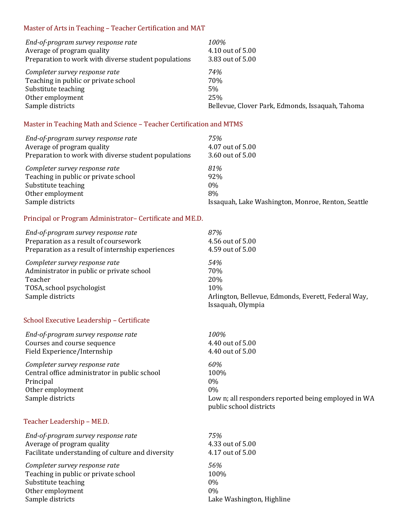## Master of Arts in Teaching – Teacher Certification and MAT

| End-of-program survey response rate                  | 100%                                             |
|------------------------------------------------------|--------------------------------------------------|
| Average of program quality                           | 4.10 out of 5.00                                 |
| Preparation to work with diverse student populations | 3.83 out of 5.00                                 |
| Completer survey response rate                       | 74%                                              |
| Teaching in public or private school                 | 70%                                              |
| Substitute teaching                                  | $5\%$                                            |
| Other employment                                     | 25%                                              |
| Sample districts                                     | Bellevue, Clover Park, Edmonds, Issaquah, Tahoma |

### Master in Teaching Math and Science – Teacher Certification and MTMS

| End-of-program survey response rate<br>Average of program quality<br>Preparation to work with diverse student populations | 75%<br>4.07 out of 5.00<br>3.60 out of 5.00        |
|---------------------------------------------------------------------------------------------------------------------------|----------------------------------------------------|
| Completer survey response rate                                                                                            | 81%                                                |
| Teaching in public or private school                                                                                      | 92%                                                |
| Substitute teaching                                                                                                       | $0\%$                                              |
| Other employment                                                                                                          | 8%                                                 |
| Sample districts                                                                                                          | Issaquah, Lake Washington, Monroe, Renton, Seattle |

#### Principal or Program Administrator– Certificate and ME.D.

| End-of-program survey response rate                                                                                                     | 87%                                                                                                                 |
|-----------------------------------------------------------------------------------------------------------------------------------------|---------------------------------------------------------------------------------------------------------------------|
| Preparation as a result of coursework                                                                                                   | 4.56 out of 5.00                                                                                                    |
| Preparation as a result of internship experiences                                                                                       | 4.59 out of 5.00                                                                                                    |
| Completer survey response rate<br>Administrator in public or private school<br>Teacher<br>TOSA, school psychologist<br>Sample districts | <b>54%</b><br><b>70%</b><br>20%<br>10\%<br>Arlington, Bellevue, Edmonds, Everett, Federal Way,<br>Issaquah, Olympia |

## School Executive Leadership – Certificate

| End-of-program survey response rate<br>Courses and course sequence<br>Field Experience/Internship | 100%<br>4.40 out of 5.00<br>4.40 out of 5.00                                   |
|---------------------------------------------------------------------------------------------------|--------------------------------------------------------------------------------|
| Completer survey response rate                                                                    | 60%                                                                            |
| Central office administrator in public school                                                     | 100%                                                                           |
| Principal                                                                                         | $0\%$                                                                          |
| Other employment                                                                                  | $0\%$                                                                          |
| Sample districts                                                                                  | Low n; all responders reported being employed in WA<br>public school districts |

## Teacher Leadership – ME.D.

*End-of-program survey response rate 75%* Average of program quality  $4.33$  out of 5.00 Facilitate understanding of culture and diversity 4.17 out of 5.00

*Completer survey response rate 56%* Teaching in public or private school 100% Substitute teaching 0% Other employment 0% Sample districts **Contains a Separate Service Contains Contains Contains Contains Contains Contains Contains Contains Contains Contains Contains Contains Contains Contains Contains Contains Contains Contains Contains Conta**